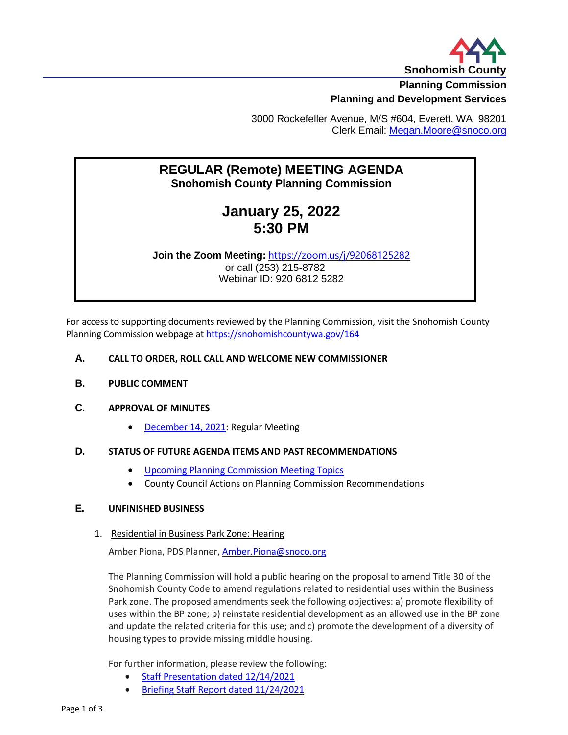

**Planning Commission**

## **Planning and Development Services**

3000 Rockefeller Avenue, M/S #604, Everett, WA 98201 Clerk Email: [Megan.Moore@snoco.org](mailto:Megan.Moore@snoco.org)

## **REGULAR (Remote) MEETING AGENDA Snohomish County Planning Commission**

## **January 25, 2022 5:30 PM**

**Join the Zoom Meeting:** <https://zoom.us/j/92068125282> or call (253) 215-8782 Webinar ID: 920 6812 5282

For access to supporting documents reviewed by the Planning Commission, visit the Snohomish County Planning Commission webpage at <https://snohomishcountywa.gov/164>

#### **A. CALL TO ORDER, ROLL CALL AND WELCOME NEW COMMISSIONER**

**B. PUBLIC COMMENT**

#### **C. APPROVAL OF MINUTES**

• [December 14, 2021:](https://www.snohomishcountywa.gov/DocumentCenter/View/87535/PlanCommDraftMinutes12142021) Regular Meeting

#### **D. STATUS OF FUTURE AGENDA ITEMS AND PAST RECOMMENDATIONS**

- [Upcoming Planning Commission Meeting Topics](https://www.snohomishcountywa.gov/DocumentCenter/View/87550/Upcoming-Planning-Commission-Meeting-Topics---January-2022-May-2022)
- County Council Actions on Planning Commission Recommendations

#### **E. UNFINISHED BUSINESS**

1. Residential in Business Park Zone: Hearing

Amber Piona, PDS Planner[, Amber.Piona@snoco.org](mailto:Amber.Piona@snoco.org)

The Planning Commission will hold a public hearing on the proposal to amend Title 30 of the Snohomish County Code to amend regulations related to residential uses within the Business Park zone. The proposed amendments seek the following objectives: a) promote flexibility of uses within the BP zone; b) reinstate residential development as an allowed use in the BP zone and update the related criteria for this use; and c) promote the development of a diversity of housing types to provide missing middle housing.

For further information, please review the following:

- [Staff Presentation dated 12/14/2021](https://www.snohomishcountywa.gov/DocumentCenter/View/86989/PC-Presentation---Residential-in-BP-briefing-20211214)
- [Briefing Staff Report dated 11/24/2021](https://www.snohomishcountywa.gov/DocumentCenter/View/86326/Res-in-BP-Staff-Report-Final-11-24-21)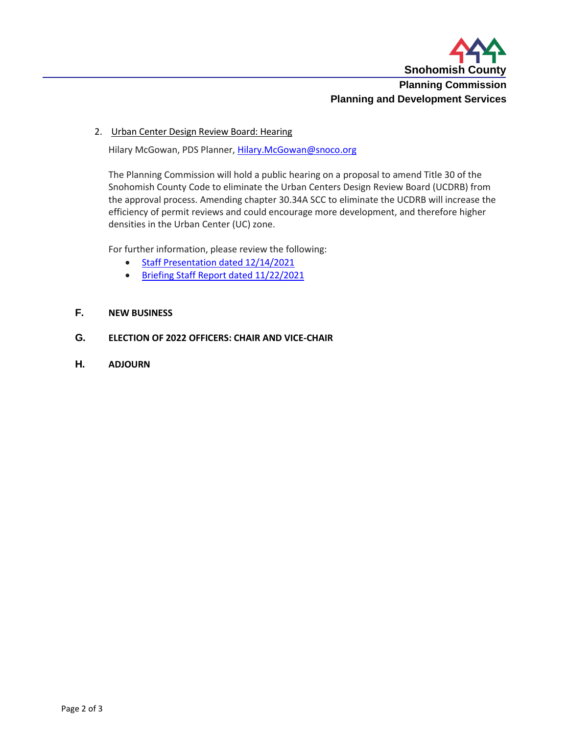

# **Planning and Development Services**

2. Urban Center Design Review Board: Hearing

Hilary McGowan, PDS Planner, [Hilary.McGowan@snoco.org](mailto:Hilary.McGowan@snoco.org)

The Planning Commission will hold a public hearing on a proposal to amend Title 30 of the Snohomish County Code to eliminate the Urban Centers Design Review Board (UCDRB) from the approval process. Amending chapter 30.34A SCC to eliminate the UCDRB will increase the efficiency of permit reviews and could encourage more development, and therefore higher densities in the Urban Center (UC) zone.

For further information, please review the following:

- [Staff Presentation dated 12/14/2021](https://www.snohomishcountywa.gov/DocumentCenter/View/86990/PC-Presentation---UCDRB-briefing-20211214)
- [Briefing Staff Report dated 11/22/2021](https://www.snohomishcountywa.gov/DocumentCenter/View/86327/Staff-Report_UCDRB-Proposed-Code-Amendment)

### **F. NEW BUSINESS**

## **G. ELECTION OF 2022 OFFICERS: CHAIR AND VICE-CHAIR**

**H. ADJOURN**